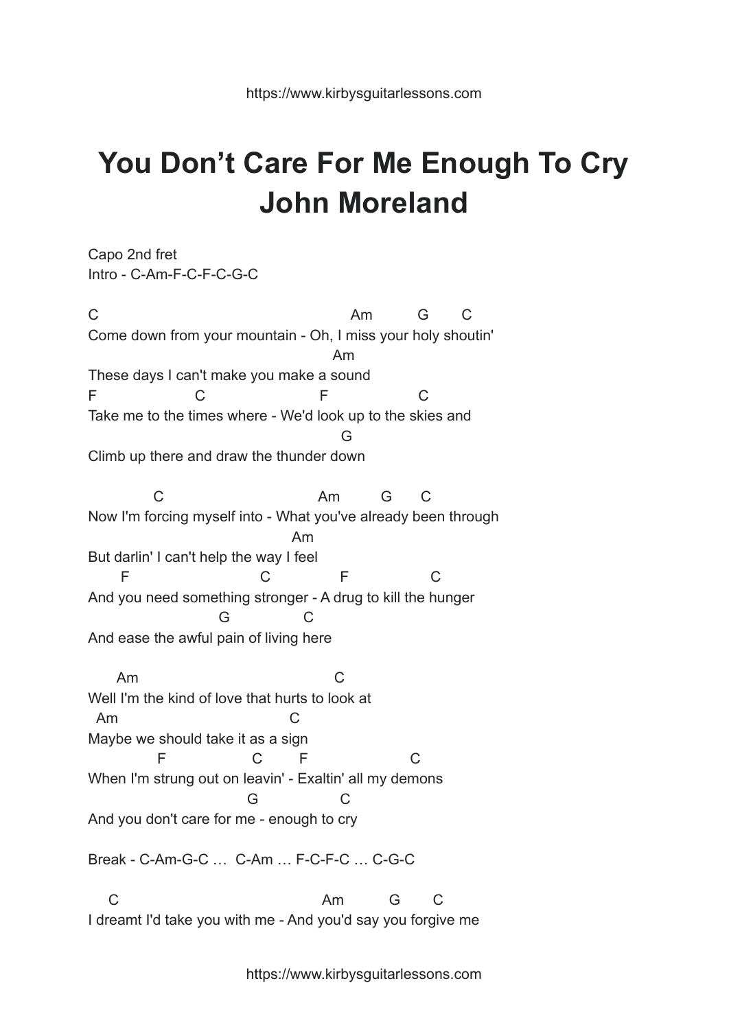## **You Don't Care For Me Enough To Cry John Moreland**

Capo 2nd fret Intro - C-Am-F-C-F-C-G-C

C Am G C Come down from your mountain - Oh, I miss your holy shoutin' Am These days I can't make you make a sound F C F C Take me to the times where - We'd look up to the skies and G Climb up there and draw the thunder down

C Am G C Now I'm forcing myself into - What you've already been through Am But darlin' I can't help the way I feel F C F C And you need something stronger - A drug to kill the hunger G C And ease the awful pain of living here

Am C Well I'm the kind of love that hurts to look at Am C Maybe we should take it as a sign F C F C When I'm strung out on leavin' - Exaltin' all my demons G C And you don't care for me - enough to cry

Break - C-Am-G-C … C-Am … F-C-F-C … C-G-C

C Am G C I dreamt I'd take you with me - And you'd say you forgive me

https://www.kirbysguitarlessons.com